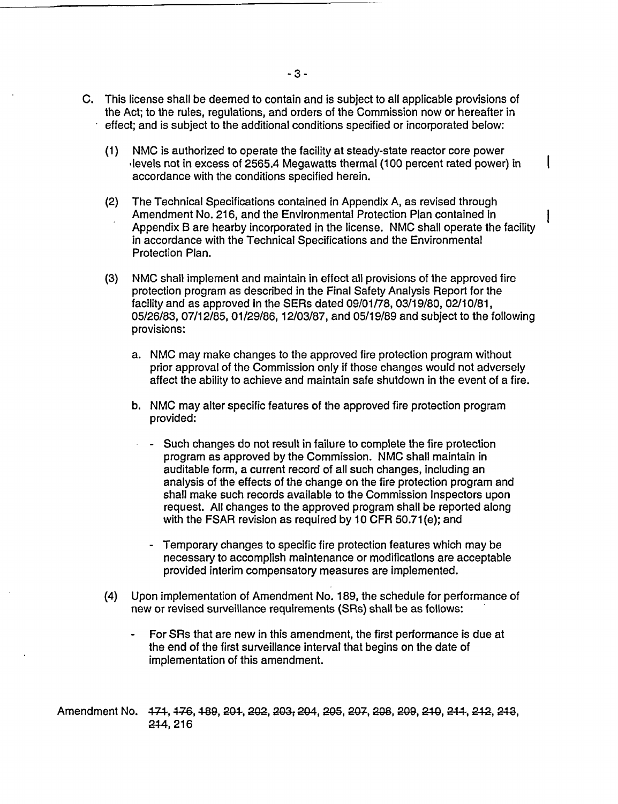- C. This license shall be deemed to contain and is subject to all applicable provisions of the Act; to the rules, regulations, and orders of the Commission now or hereafter in effect; and is subject to the additional conditions specified or incorporated below:
	- (1) NMC is authorized to operate the facility at steady-state reactor core power -levels not in excess of 2565.4 Megawatts thermal (100 percent rated power) in accordance with the conditions specified herein.
	- (2) The Technical Specifications contained in Appendix A, as revised through Amendment No. 216, and the Environmental Protection Plan contained in Appendix B are hearby incorporated in the license. NMC shall operate the facility in accordance with the Technical Specifications and the Environmental Protection Plan.
	- (3) NMC shall implement and maintain in effect all provisions of the approved fire protection program as described in the Final Safety Analysis Report for the facility and as approved in the SERs dated 09/01/78, 03/19/80, 02/10/81, 05/26/83, 07/12/85, 01/29/86, 12/03/87, and 05/19/89 and subject to the following provisions:
		- a. NMC may make changes to the approved fire protection program without prior approval of the Commission only if those changes would not adversely affect the ability to achieve and maintain safe shutdown in the event of a fire.
		- b. NMC may alter specific features of the approved fire protection program provided:
			- Such changes do not result in failure to complete the fire protection program as approved by the Commission. NMC shall maintain in auditable form, a current record of all such changes, including an analysis of the effects of the change on the fire protection program and shall make such records available to the Commission Inspectors upon request. All changes to the approved program shall be reported along with the FSAR revision as required by 10 CFR 50.71(e); and
				- Temporary changes to specific fire protection features which may be necessary to accomplish maintenance or modifications are acceptable provided interim compensatory measures are implemented.
	- (4) Upon implementation of Amendment No. 189, the schedule for performance of new or revised surveillance requirements (SRs) shall be as follows:
		- For SRs that are new in this amendment, the first performance is due at the end of the first surveillance interval that begins on the date of implementation of this amendment.

Amendment No. 171, 176, 189, 201, 202, 203, 204, 205, 207, 208, 209, 210, 211, 212, 213, 244, 216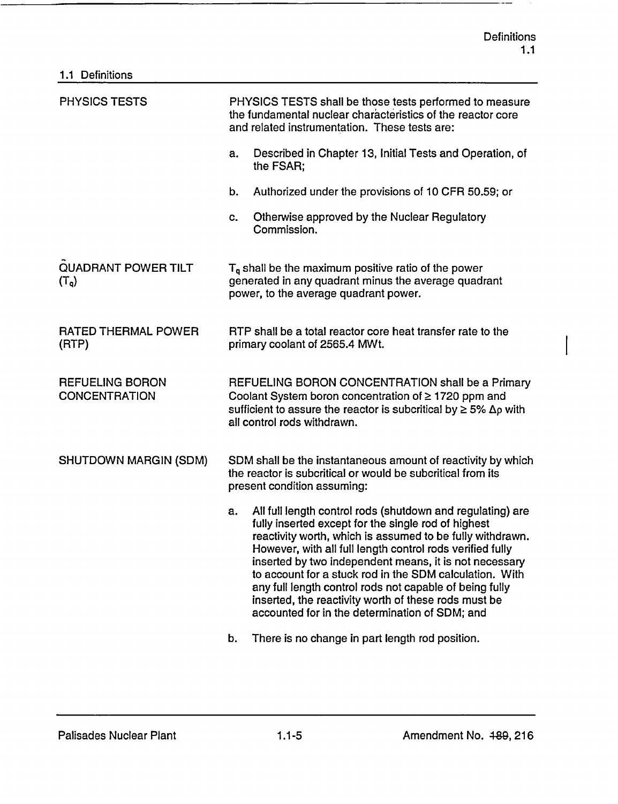----

I

| 1.1 Definitions                                |                                                                                                                                                                                                                                                                                                                                                                                                                                                                                                                                             |  |  |  |  |
|------------------------------------------------|---------------------------------------------------------------------------------------------------------------------------------------------------------------------------------------------------------------------------------------------------------------------------------------------------------------------------------------------------------------------------------------------------------------------------------------------------------------------------------------------------------------------------------------------|--|--|--|--|
| <b>PHYSICS TESTS</b>                           | PHYSICS TESTS shall be those tests performed to measure<br>the fundamental nuclear characteristics of the reactor core<br>and related instrumentation. These tests are:                                                                                                                                                                                                                                                                                                                                                                     |  |  |  |  |
|                                                | Described in Chapter 13, Initial Tests and Operation, of<br>a.<br>the FSAR;                                                                                                                                                                                                                                                                                                                                                                                                                                                                 |  |  |  |  |
|                                                | b.<br>Authorized under the provisions of 10 CFR 50.59; or                                                                                                                                                                                                                                                                                                                                                                                                                                                                                   |  |  |  |  |
|                                                | Otherwise approved by the Nuclear Regulatory<br>c.<br>Commission.                                                                                                                                                                                                                                                                                                                                                                                                                                                                           |  |  |  |  |
| <b>QUADRANT POWER TILT</b><br>$(T_q)$          | $T_q$ shall be the maximum positive ratio of the power<br>generated in any quadrant minus the average quadrant<br>power, to the average quadrant power.                                                                                                                                                                                                                                                                                                                                                                                     |  |  |  |  |
| <b>RATED THERMAL POWER</b><br>(RTP)            | RTP shall be a total reactor core heat transfer rate to the<br>primary coolant of 2565.4 MWt.                                                                                                                                                                                                                                                                                                                                                                                                                                               |  |  |  |  |
| <b>REFUELING BORON</b><br><b>CONCENTRATION</b> | REFUELING BORON CONCENTRATION shall be a Primary<br>Coolant System boron concentration of ≥ 1720 ppm and<br>sufficient to assure the reactor is subcritical by $\geq 5\%$ $\Delta p$ with<br>all control rods withdrawn.                                                                                                                                                                                                                                                                                                                    |  |  |  |  |
| SHUTDOWN MARGIN (SDM)                          | SDM shall be the instantaneous amount of reactivity by which<br>the reactor is subcritical or would be subcritical from its<br>present condition assuming:                                                                                                                                                                                                                                                                                                                                                                                  |  |  |  |  |
|                                                | All full length control rods (shutdown and regulating) are<br>a.<br>fully inserted except for the single rod of highest<br>reactivity worth, which is assumed to be fully withdrawn.<br>However, with all full length control rods verified fully<br>inserted by two independent means, it is not necessary<br>to account for a stuck rod in the SDM calculation. With<br>any full length control rods not capable of being fully<br>inserted, the reactivity worth of these rods must be<br>accounted for in the determination of SDM; and |  |  |  |  |
|                                                | There is no change in part length rod position.<br>b.                                                                                                                                                                                                                                                                                                                                                                                                                                                                                       |  |  |  |  |